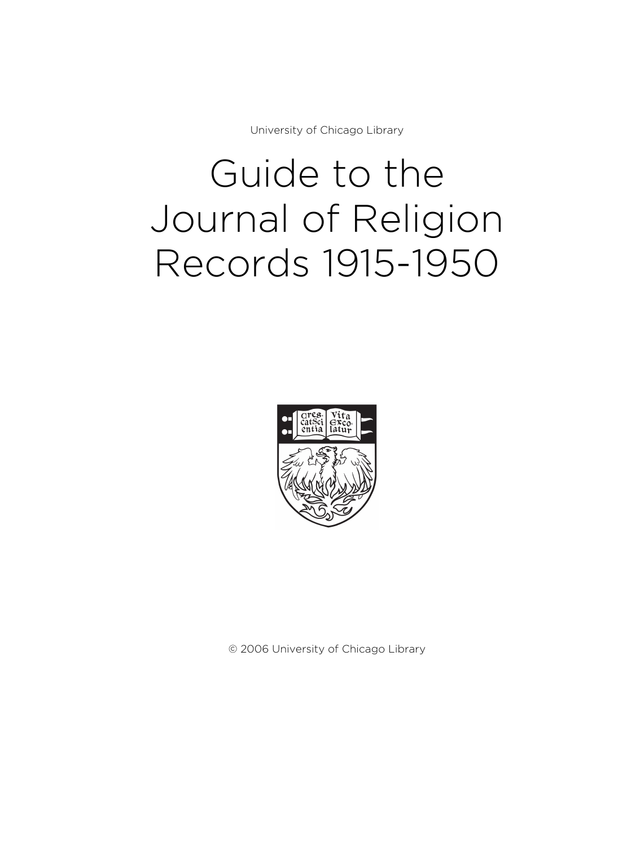University of Chicago Library

# Guide to the Journal of Religion Records 1915-1950



© 2006 University of Chicago Library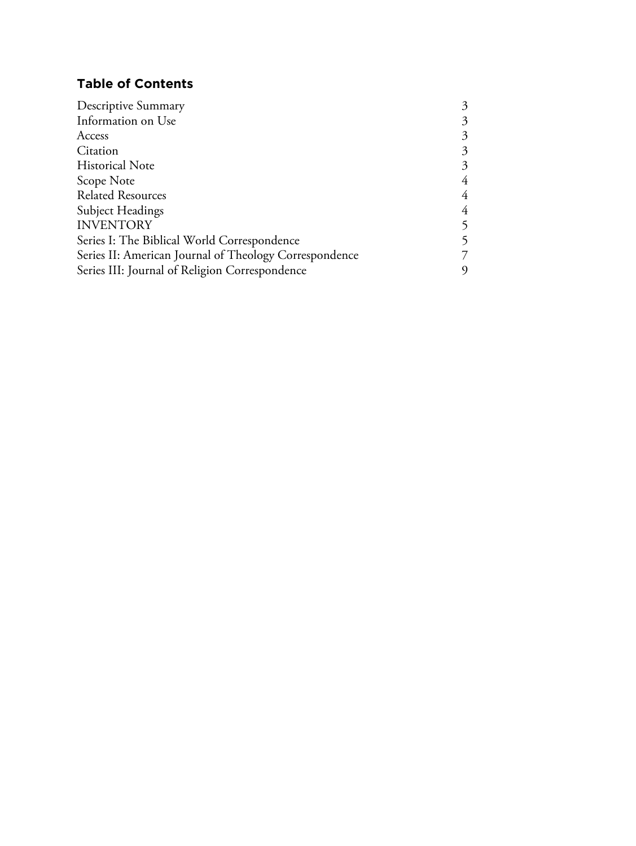## **Table of Contents**

| Descriptive Summary                                    | 3 |
|--------------------------------------------------------|---|
| Information on Use                                     | 3 |
| Access                                                 | 3 |
| Citation                                               | 3 |
| <b>Historical Note</b>                                 | 3 |
| Scope Note                                             | 4 |
| <b>Related Resources</b>                               | 4 |
| <b>Subject Headings</b>                                | 4 |
| <b>INVENTORY</b>                                       | 5 |
| Series I: The Biblical World Correspondence            | 5 |
| Series II: American Journal of Theology Correspondence | 7 |
| Series III: Journal of Religion Correspondence         | 9 |
|                                                        |   |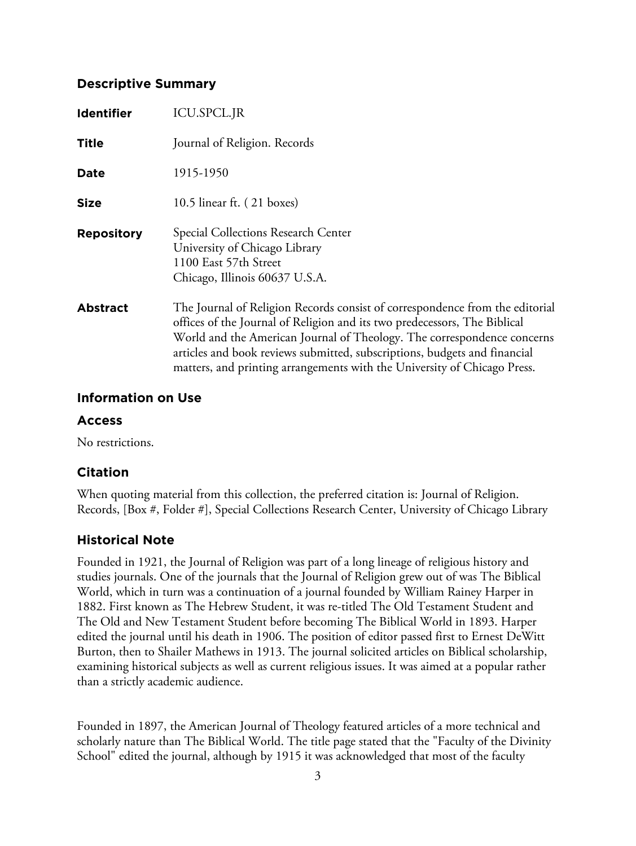## **Descriptive Summary**

| <b>Identifier</b> | <b>ICU.SPCL.JR</b>                                                                                                                                                                                                                                                                                                                                                                            |
|-------------------|-----------------------------------------------------------------------------------------------------------------------------------------------------------------------------------------------------------------------------------------------------------------------------------------------------------------------------------------------------------------------------------------------|
| <b>Title</b>      | Journal of Religion. Records                                                                                                                                                                                                                                                                                                                                                                  |
| Date              | 1915-1950                                                                                                                                                                                                                                                                                                                                                                                     |
| <b>Size</b>       | 10.5 linear ft. $(21 \text{ boxes})$                                                                                                                                                                                                                                                                                                                                                          |
| <b>Repository</b> | Special Collections Research Center<br>University of Chicago Library<br>1100 East 57th Street<br>Chicago, Illinois 60637 U.S.A.                                                                                                                                                                                                                                                               |
| <b>Abstract</b>   | The Journal of Religion Records consist of correspondence from the editorial<br>offices of the Journal of Religion and its two predecessors, The Biblical<br>World and the American Journal of Theology. The correspondence concerns<br>articles and book reviews submitted, subscriptions, budgets and financial<br>matters, and printing arrangements with the University of Chicago Press. |

### **Information on Use**

### **Access**

No restrictions.

## **Citation**

When quoting material from this collection, the preferred citation is: Journal of Religion. Records, [Box #, Folder #], Special Collections Research Center, University of Chicago Library

## **Historical Note**

Founded in 1921, the Journal of Religion was part of a long lineage of religious history and studies journals. One of the journals that the Journal of Religion grew out of was The Biblical World, which in turn was a continuation of a journal founded by William Rainey Harper in 1882. First known as The Hebrew Student, it was re-titled The Old Testament Student and The Old and New Testament Student before becoming The Biblical World in 1893. Harper edited the journal until his death in 1906. The position of editor passed first to Ernest DeWitt Burton, then to Shailer Mathews in 1913. The journal solicited articles on Biblical scholarship, examining historical subjects as well as current religious issues. It was aimed at a popular rather than a strictly academic audience.

Founded in 1897, the American Journal of Theology featured articles of a more technical and scholarly nature than The Biblical World. The title page stated that the "Faculty of the Divinity School" edited the journal, although by 1915 it was acknowledged that most of the faculty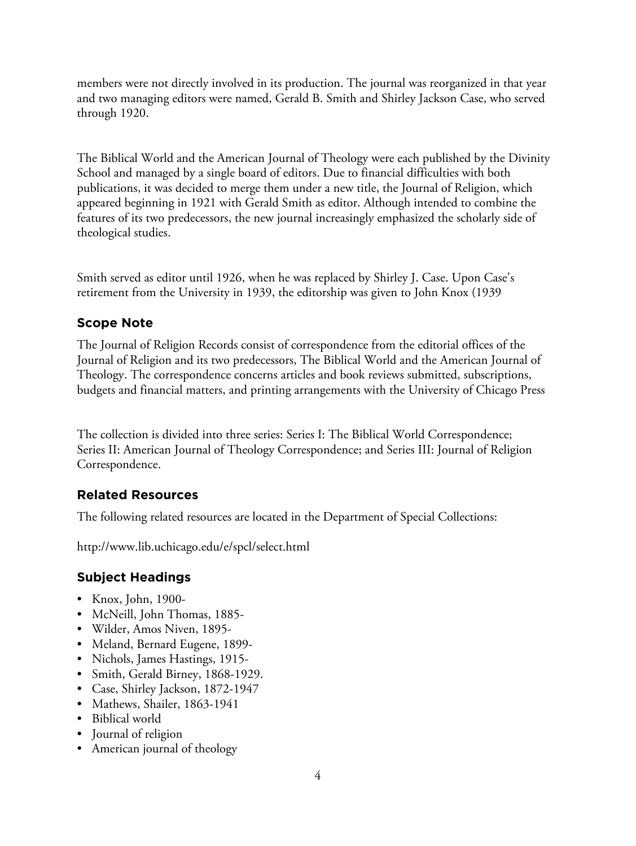members were not directly involved in its production. The journal was reorganized in that year and two managing editors were named, Gerald B. Smith and Shirley Jackson Case, who served through 1920.

The Biblical World and the American Journal of Theology were each published by the Divinity School and managed by a single board of editors. Due to financial difficulties with both publications, it was decided to merge them under a new title, the Journal of Religion, which appeared beginning in 1921 with Gerald Smith as editor. Although intended to combine the features of its two predecessors, the new journal increasingly emphasized the scholarly side of theological studies.

Smith served as editor until 1926, when he was replaced by Shirley J. Case. Upon Case's retirement from the University in 1939, the editorship was given to John Knox (1939

## **Scope Note**

The Journal of Religion Records consist of correspondence from the editorial offices of the Journal of Religion and its two predecessors, The Biblical World and the American Journal of Theology. The correspondence concerns articles and book reviews submitted, subscriptions, budgets and financial matters, and printing arrangements with the University of Chicago Press

The collection is divided into three series: Series I: The Biblical World Correspondence; Series II: American Journal of Theology Correspondence; and Series III: Journal of Religion Correspondence.

## **Related Resources**

The following related resources are located in the Department of Special Collections:

http://www.lib.uchicago.edu/e/spcl/select.html

## **Subject Headings**

- Knox, John, 1900-
- McNeill, John Thomas, 1885-
- Wilder, Amos Niven, 1895-
- Meland, Bernard Eugene, 1899-
- Nichols, James Hastings, 1915-
- Smith, Gerald Birney, 1868-1929.
- Case, Shirley Jackson, 1872-1947
- Mathews, Shailer, 1863-1941
- Biblical world
- Journal of religion
- American journal of theology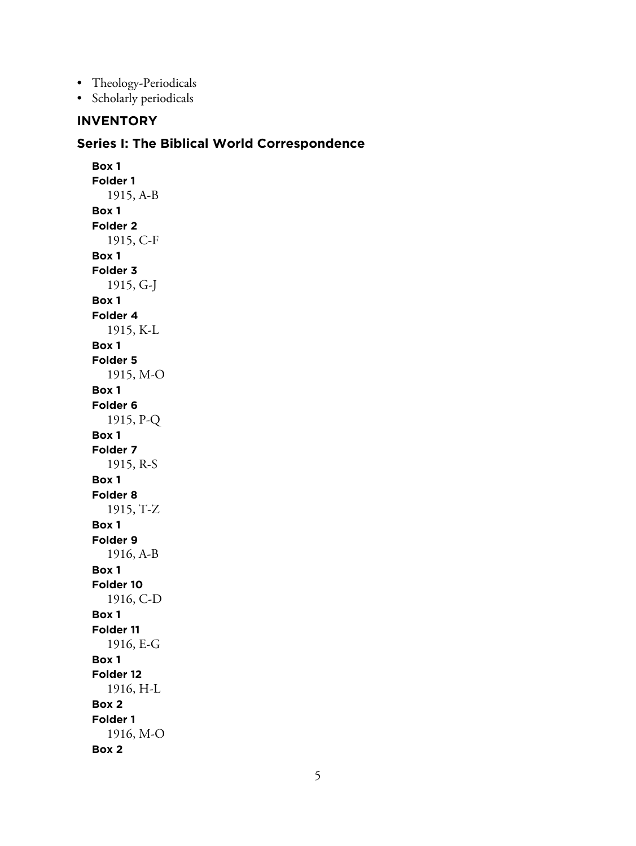- Theology-Periodicals
- Scholarly periodicals

## **INVENTORY**

#### **Series I: The Biblical World Correspondence**

**Box 1 Folder 1** 1915, A-B **Box 1 Folder 2** 1915, C-F **Box 1 Folder 3** 1915, G-J **Box 1 Folder 4** 1915, K-L **Box 1 Folder 5** 1915, M-O **Box 1 Folder 6** 1915, P-Q **Box 1 Folder 7** 1915, R-S **Box 1 Folder 8** 1915, T-Z **Box 1 Folder 9** 1916, A-B **Box 1 Folder 10** 1916, C-D **Box 1 Folder 11** 1916, E-G **Box 1 Folder 12** 1916, H-L **Box 2 Folder 1** 1916, M-O **Box 2**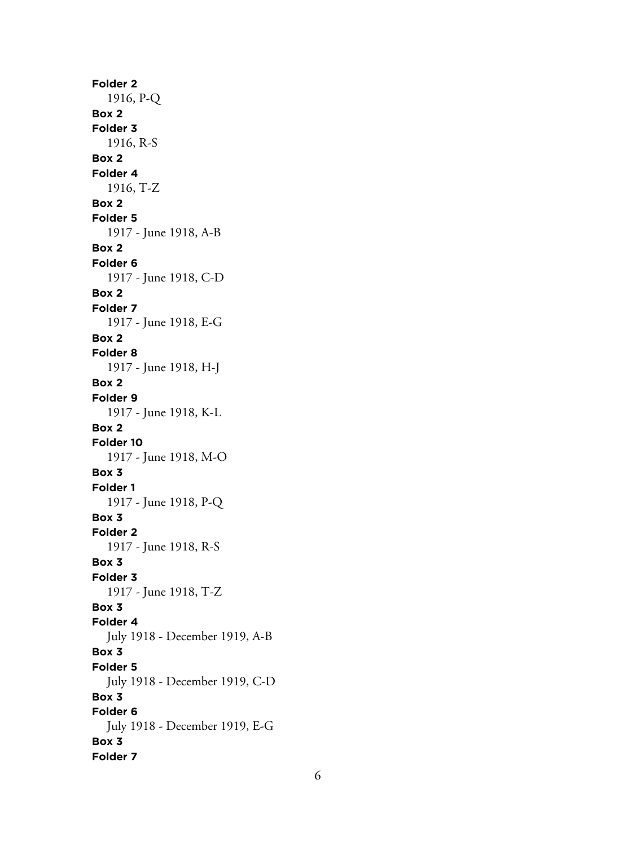**Folder 2** 1916, P-Q **Box 2 Folder 3** 1916, R-S **Box 2 Folder 4** 1916, T-Z **Box 2 Folder 5** 1917 - June 1918, A-B **Box 2 Folder 6** 1917 - June 1918, C-D **Box 2 Folder 7** 1917 - June 1918, E-G **Box 2 Folder 8** 1917 - June 1918, H-J **Box 2 Folder 9** 1917 - June 1918, K-L **Box 2 Folder 10** 1917 - June 1918, M-O **Box 3 Folder 1** 1917 - June 1918, P-Q **Box 3 Folder 2** 1917 - June 1918, R-S **Box 3 Folder 3** 1917 - June 1918, T-Z **Box 3 Folder 4** July 1918 - December 1919, A-B **Box 3 Folder 5** July 1918 - December 1919, C-D **Box 3 Folder 6** July 1918 - December 1919, E-G **Box 3 Folder 7**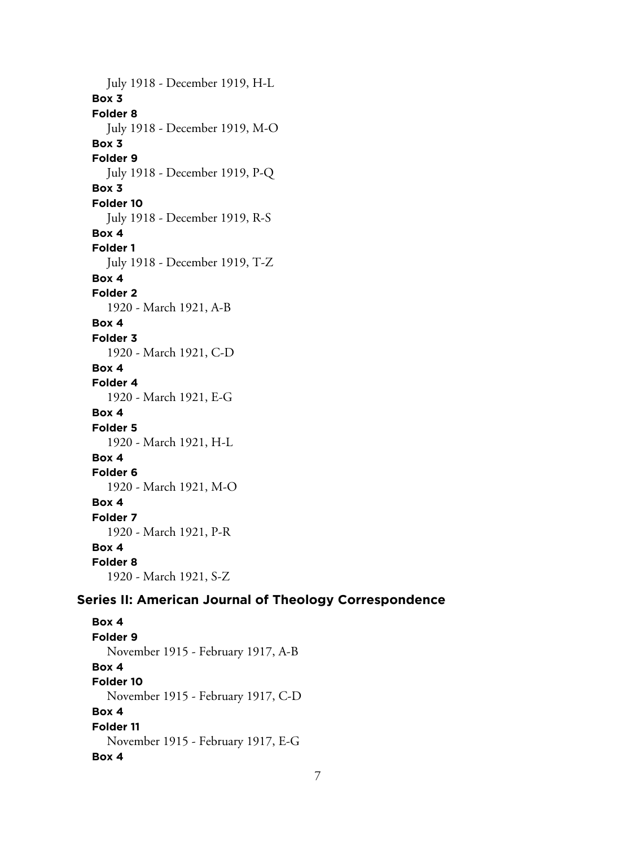July 1918 - December 1919, H-L **Box 3 Folder 8** July 1918 - December 1919, M-O **Box 3 Folder 9** July 1918 - December 1919, P-Q **Box 3 Folder 10** July 1918 - December 1919, R-S **Box 4 Folder 1** July 1918 - December 1919, T-Z **Box 4 Folder 2** 1920 - March 1921, A-B **Box 4 Folder 3** 1920 - March 1921, C-D **Box 4 Folder 4** 1920 - March 1921, E-G **Box 4 Folder 5** 1920 - March 1921, H-L **Box 4 Folder 6** 1920 - March 1921, M-O **Box 4 Folder 7** 1920 - March 1921, P-R **Box 4 Folder 8** 1920 - March 1921, S-Z **Series II: American Journal of Theology Correspondence**

**Box 4 Folder 9** November 1915 - February 1917, A-B **Box 4 Folder 10** November 1915 - February 1917, C-D **Box 4 Folder 11** November 1915 - February 1917, E-G **Box 4**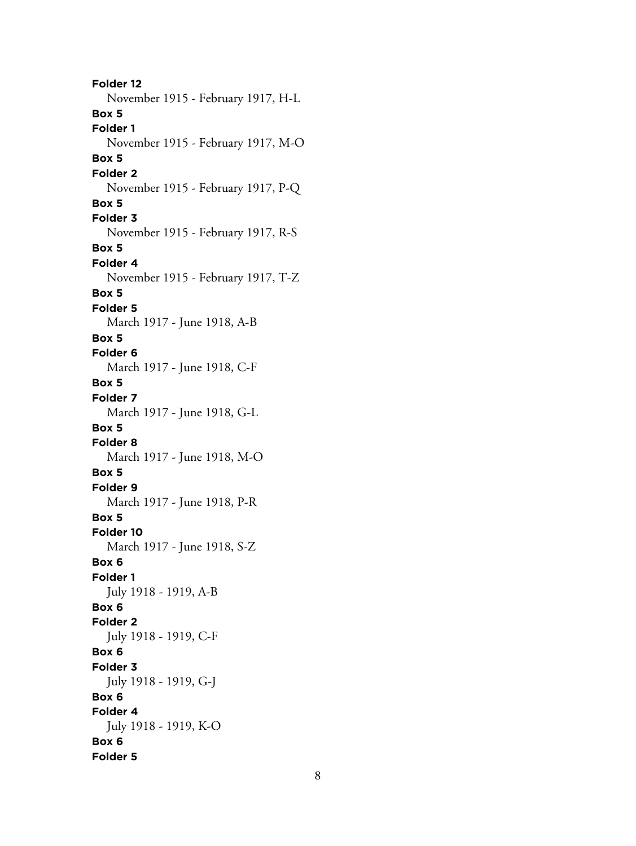**Folder 12** November 1915 - February 1917, H-L **Box 5 Folder 1** November 1915 - February 1917, M-O **Box 5 Folder 2** November 1915 - February 1917, P-Q **Box 5 Folder 3** November 1915 - February 1917, R-S **Box 5 Folder 4** November 1915 - February 1917, T-Z **Box 5 Folder 5** March 1917 - June 1918, A-B **Box 5 Folder 6** March 1917 - June 1918, C-F **Box 5 Folder 7** March 1917 - June 1918, G-L **Box 5 Folder 8** March 1917 - June 1918, M-O **Box 5 Folder 9** March 1917 - June 1918, P-R **Box 5 Folder 10** March 1917 - June 1918, S-Z **Box 6 Folder 1** July 1918 - 1919, A-B **Box 6 Folder 2** July 1918 - 1919, C-F **Box 6 Folder 3** July 1918 - 1919, G-J **Box 6 Folder 4** July 1918 - 1919, K-O **Box 6 Folder 5**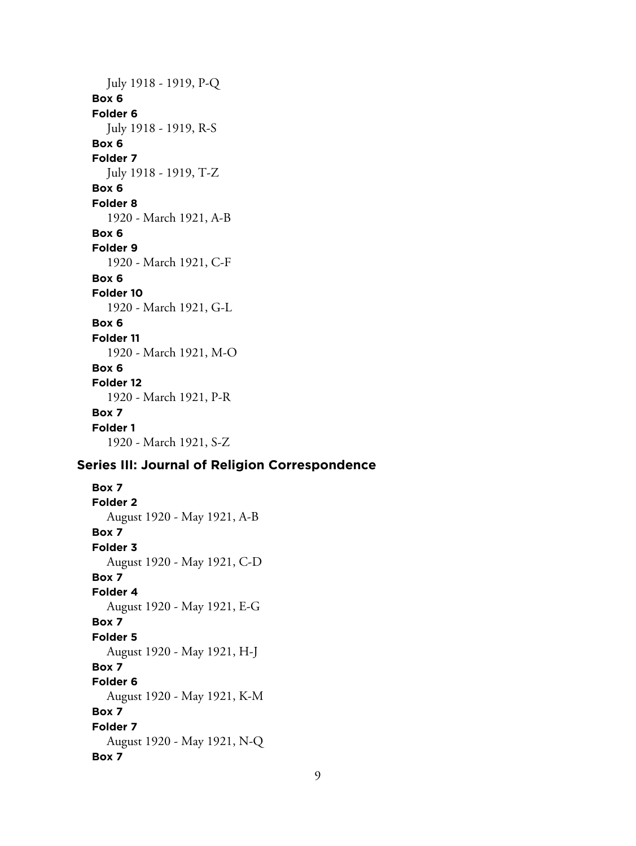## July 1918 - 1919, P-Q **Box 6 Folder 6** July 1918 - 1919, R-S **Box 6 Folder 7**

July 1918 - 1919, T-Z **Box 6 Folder 8** 1920 - March 1921, A-B **Box 6 Folder 9** 1920 - March 1921, C-F **Box 6 Folder 10** 1920 - March 1921, G-L **Box 6 Folder 11** 1920 - March 1921, M-O **Box 6 Folder 12** 1920 - March 1921, P-R **Box 7 Folder 1**

1920 - March 1921, S-Z

## **Series III: Journal of Religion Correspondence**

**Box 7 Folder 2** August 1920 - May 1921, A-B **Box 7 Folder 3** August 1920 - May 1921, C-D **Box 7 Folder 4** August 1920 - May 1921, E-G **Box 7 Folder 5** August 1920 - May 1921, H-J **Box 7 Folder 6** August 1920 - May 1921, K-M **Box 7 Folder 7** August 1920 - May 1921, N-Q **Box 7**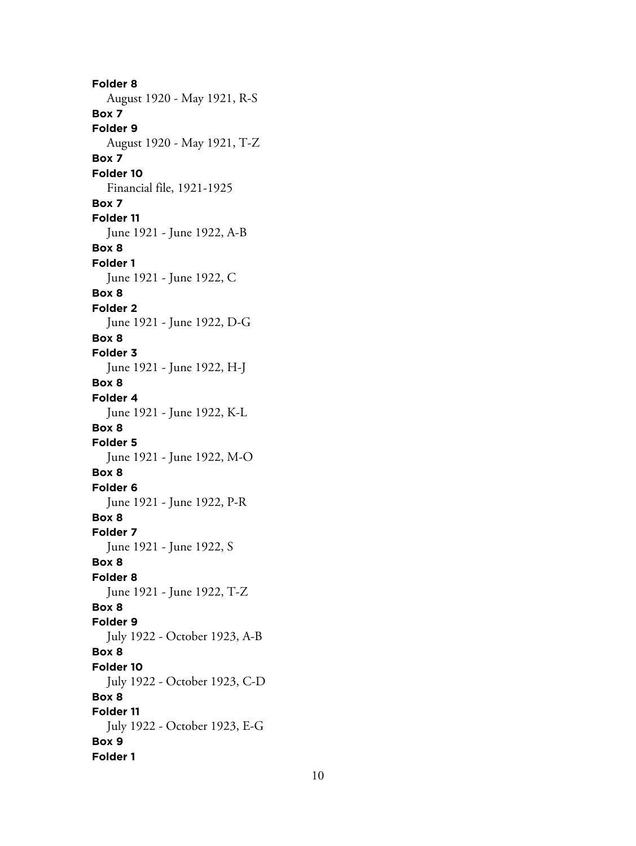**Folder 8** August 1920 - May 1921, R-S **Box 7 Folder 9** August 1920 - May 1921, T-Z **Box 7 Folder 10** Financial file, 1921-1925 **Box 7 Folder 11** June 1921 - June 1922, A-B **Box 8 Folder 1** June 1921 - June 1922, C **Box 8 Folder 2** June 1921 - June 1922, D-G **Box 8 Folder 3** June 1921 - June 1922, H-J **Box 8 Folder 4** June 1921 - June 1922, K-L **Box 8 Folder 5** June 1921 - June 1922, M-O **Box 8 Folder 6** June 1921 - June 1922, P-R **Box 8 Folder 7** June 1921 - June 1922, S **Box 8 Folder 8** June 1921 - June 1922, T-Z **Box 8 Folder 9** July 1922 - October 1923, A-B **Box 8 Folder 10** July 1922 - October 1923, C-D **Box 8 Folder 11** July 1922 - October 1923, E-G **Box 9 Folder 1**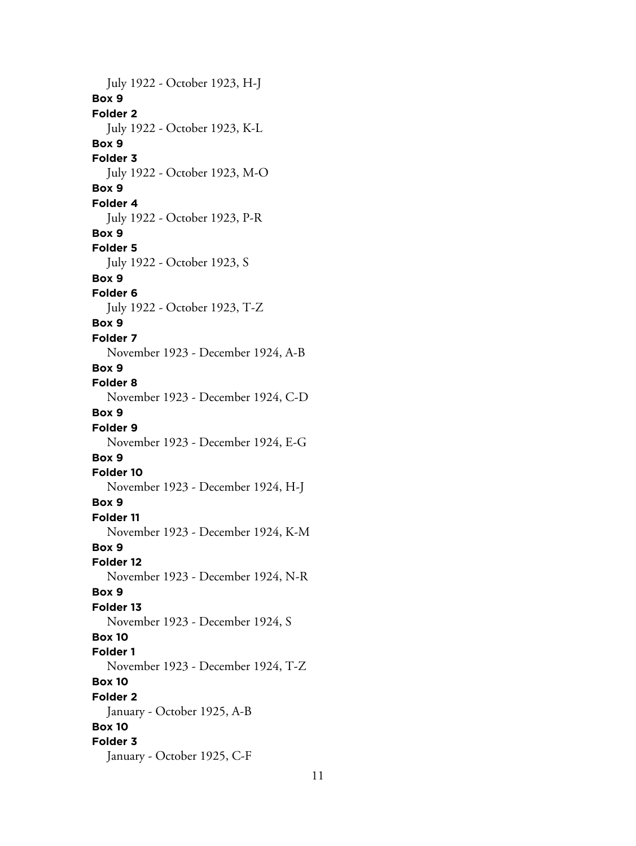July 1922 - October 1923, H-J **Box 9 Folder 2** July 1922 - October 1923, K-L **Box 9 Folder 3** July 1922 - October 1923, M-O **Box 9 Folder 4** July 1922 - October 1923, P-R **Box 9 Folder 5** July 1922 - October 1923, S **Box 9 Folder 6** July 1922 - October 1923, T-Z **Box 9 Folder 7** November 1923 - December 1924, A-B **Box 9 Folder 8** November 1923 - December 1924, C-D **Box 9 Folder 9** November 1923 - December 1924, E-G **Box 9 Folder 10** November 1923 - December 1924, H-J **Box 9 Folder 11** November 1923 - December 1924, K-M **Box 9 Folder 12** November 1923 - December 1924, N-R **Box 9 Folder 13** November 1923 - December 1924, S **Box 10 Folder 1** November 1923 - December 1924, T-Z **Box 10 Folder 2** January - October 1925, A-B **Box 10 Folder 3** January - October 1925, C-F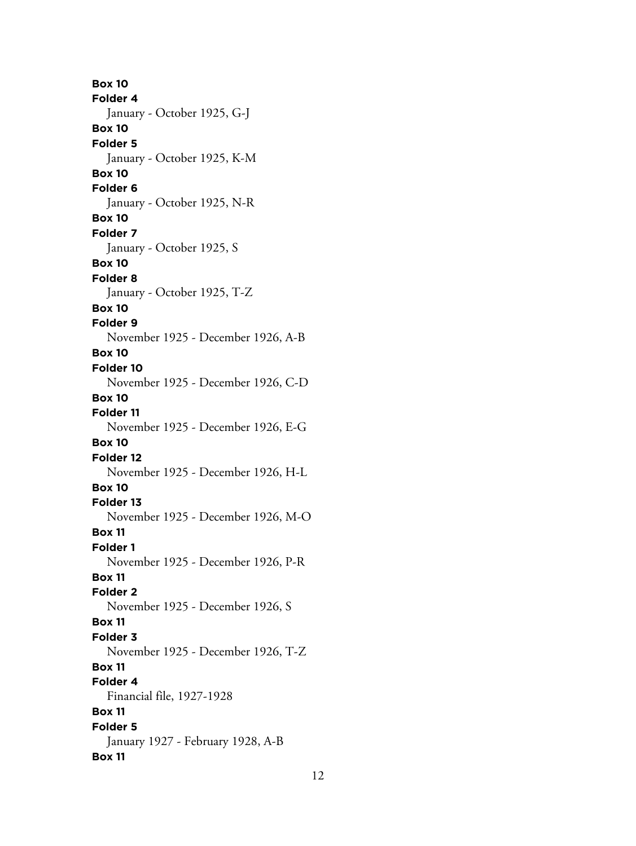**Box 10 Folder 4** January - October 1925, G-J **Box 10 Folder 5** January - October 1925, K-M **Box 10 Folder 6** January - October 1925, N-R **Box 10 Folder 7** January - October 1925, S **Box 10 Folder 8** January - October 1925, T-Z **Box 10 Folder 9** November 1925 - December 1926, A-B **Box 10 Folder 10** November 1925 - December 1926, C-D **Box 10 Folder 11** November 1925 - December 1926, E-G **Box 10 Folder 12** November 1925 - December 1926, H-L **Box 10 Folder 13** November 1925 - December 1926, M-O **Box 11 Folder 1** November 1925 - December 1926, P-R **Box 11 Folder 2** November 1925 - December 1926, S **Box 11 Folder 3** November 1925 - December 1926, T-Z **Box 11 Folder 4** Financial file, 1927-1928 **Box 11 Folder 5** January 1927 - February 1928, A-B **Box 11**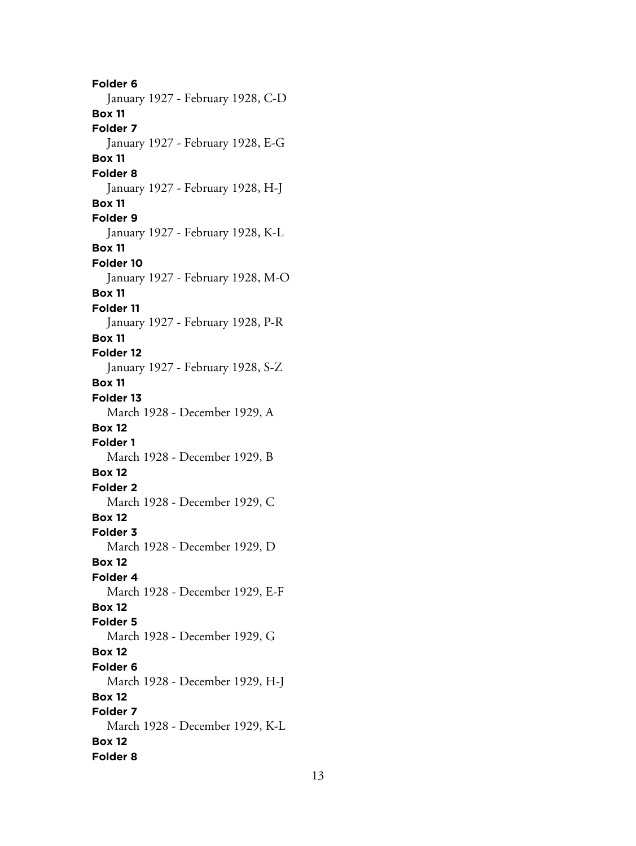**Folder 6** January 1927 - February 1928, C-D **Box 11 Folder 7** January 1927 - February 1928, E-G **Box 11 Folder 8** January 1927 - February 1928, H-J **Box 11 Folder 9** January 1927 - February 1928, K-L **Box 11 Folder 10** January 1927 - February 1928, M-O **Box 11 Folder 11** January 1927 - February 1928, P-R **Box 11 Folder 12** January 1927 - February 1928, S-Z **Box 11 Folder 13** March 1928 - December 1929, A **Box 12 Folder 1** March 1928 - December 1929, B **Box 12 Folder 2** March 1928 - December 1929, C **Box 12 Folder 3** March 1928 - December 1929, D **Box 12 Folder 4** March 1928 - December 1929, E-F **Box 12 Folder 5** March 1928 - December 1929, G **Box 12 Folder 6** March 1928 - December 1929, H-J **Box 12 Folder 7** March 1928 - December 1929, K-L **Box 12 Folder 8**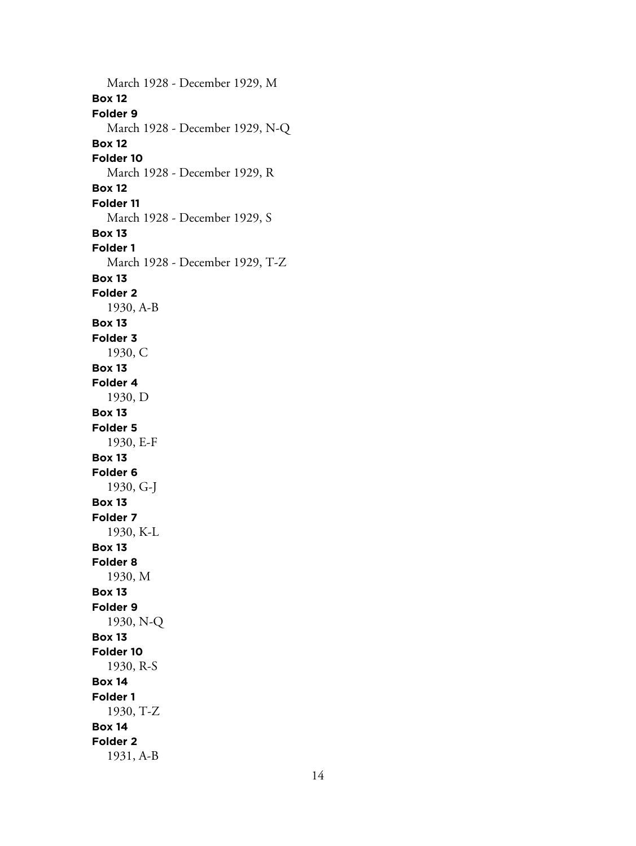March 1928 - December 1929, M **Box 12 Folder 9** March 1928 - December 1929, N-Q **Box 12 Folder 10** March 1928 - December 1929, R **Box 12 Folder 11** March 1928 - December 1929, S **Box 13 Folder 1** March 1928 - December 1929, T-Z **Box 13 Folder 2** 1930, A-B **Box 13 Folder 3** 1930, C **Box 13 Folder 4** 1930, D **Box 13 Folder 5** 1930, E-F **Box 13 Folder 6** 1930, G-J **Box 13 Folder 7** 1930, K-L **Box 13 Folder 8** 1930, M **Box 13 Folder 9** 1930, N-Q **Box 13 Folder 10** 1930, R-S **Box 14 Folder 1** 1930, T-Z **Box 14 Folder 2** 1931, A-B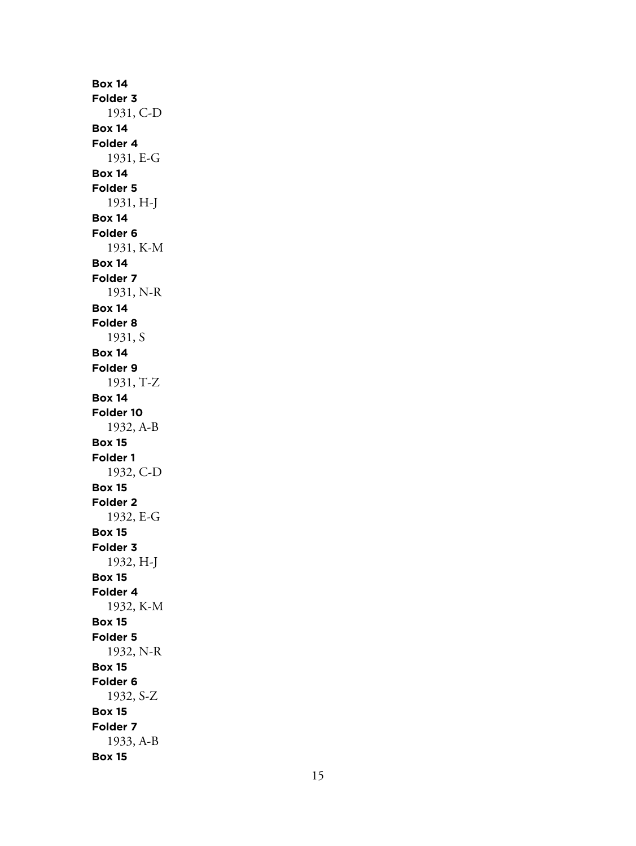**Box 14 Folder 3** 1931, C-D **Box 14 Folder 4** 1931, E-G **Box 14 Folder 5** 1931, H-J **Box 14 Folder 6** 1931, K-M **Box 14 Folder 7** 1931, N-R **Box 14 Folder 8** 1931, S **Box 14 Folder 9** 1931, T-Z **Box 14 Folder 10** 1932, A-B **Box 15 Folder 1** 1932, C-D **Box 15 Folder 2** 1932, E-G **Box 15 Folder 3** 1932, H-J **Box 15 Folder 4** 1932, K-M **Box 15 Folder 5** 1932, N-R **Box 15 Folder 6** 1932, S-Z **Box 15 Folder 7** 1933, A-B **Box 15**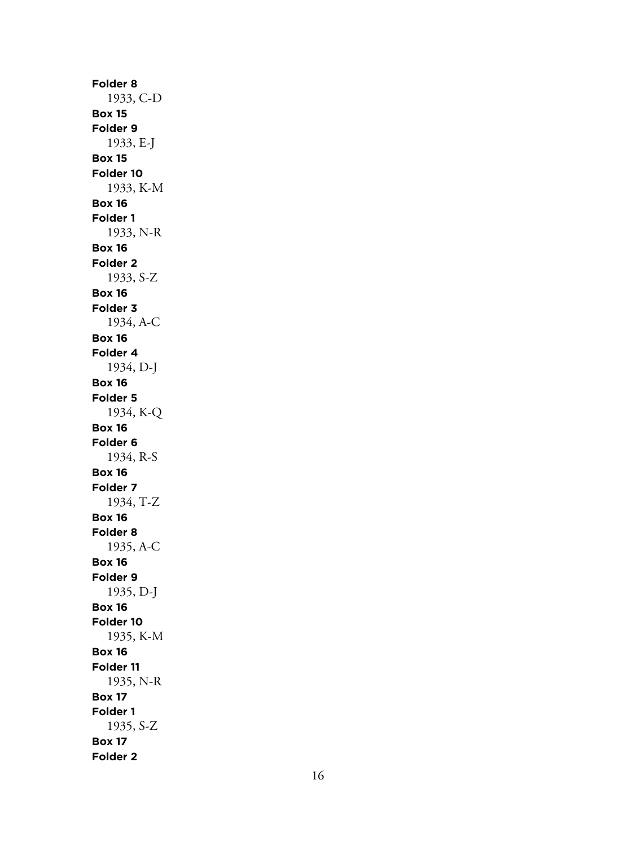**Folder 8** 1933, C-D **Box 15 Folder 9** 1933, E-J **Box 15 Folder 10** 1933, K-M **Box 16 Folder 1** 1933, N-R **Box 16 Folder 2** 1933, S-Z **Box 16 Folder 3** 1934, A-C **Box 16 Folder 4** 1934, D-J **Box 16 Folder 5** 1934, K-Q **Box 16 Folder 6** 1934, R-S **Box 16 Folder 7** 1934, T-Z **Box 16 Folder 8** 1935, A-C **Box 16 Folder 9** 1935, D-J **Box 16 Folder 10** 1935, K-M **Box 16 Folder 11** 1935, N-R **Box 17 Folder 1** 1935, S-Z **Box 17 Folder 2**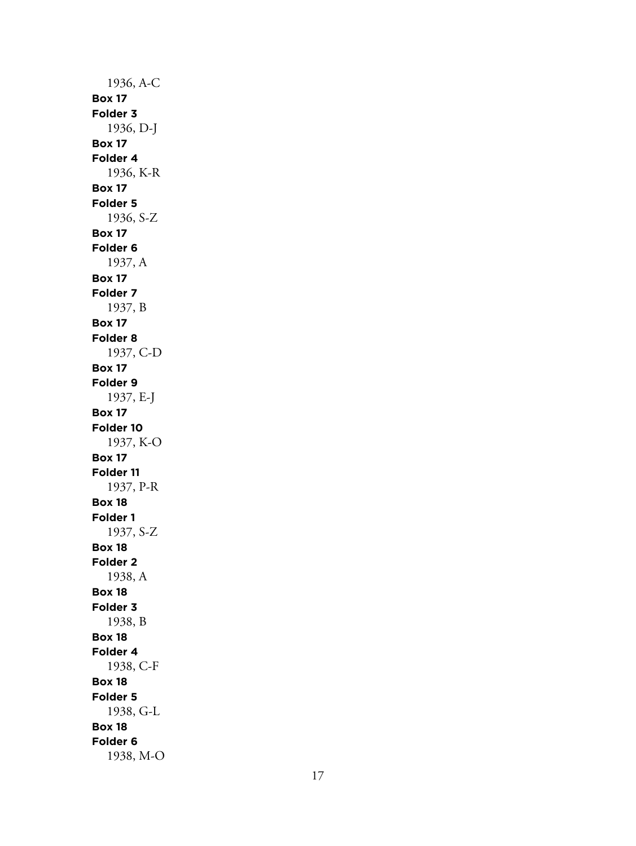1936, A-C **Box 17 Folder 3** 1936, D-J **Box 17 Folder 4** 1936, K-R **Box 17 Folder 5** 1936, S-Z **Box 17 Folder 6** 1937, A **Box 17 Folder 7** 1937, B **Box 17 Folder 8** 1937, C-D **Box 17 Folder 9** 1937, E-J **Box 17 Folder 10** 1937, K-O **Box 17 Folder 11** 1937, P-R **Box 18 Folder 1** 1937, S-Z **Box 18 Folder 2** 1938, A **Box 18 Folder 3** 1938, B **Box 18 Folder 4** 1938, C-F **Box 18 Folder 5** 1938, G-L **Box 18 Folder 6** 1938, M-O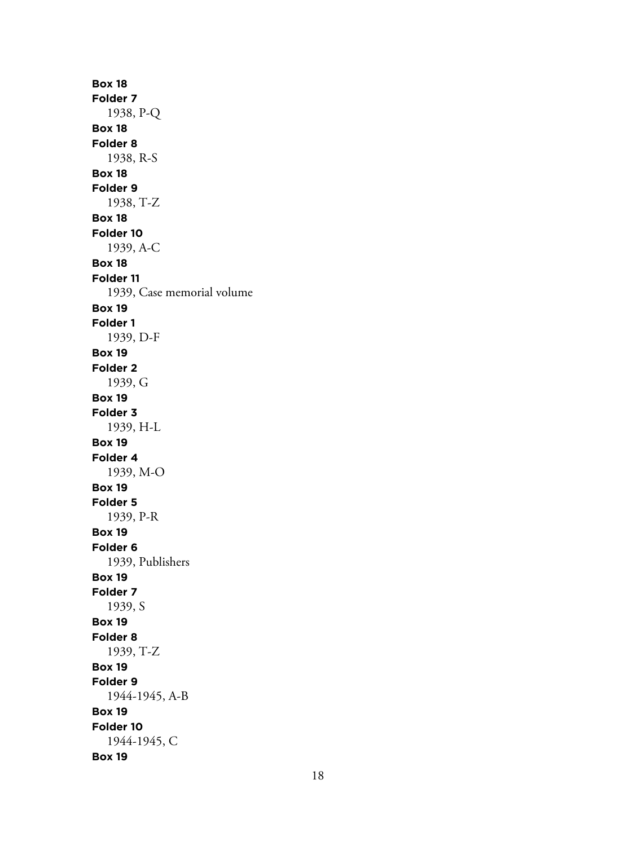**Box 18 Folder 7** 1938, P-Q **Box 18 Folder 8** 1938, R-S **Box 18 Folder 9** 1938, T-Z **Box 18 Folder 10** 1939, A-C **Box 18 Folder 11** 1939, Case memorial volume **Box 19 Folder 1** 1939, D-F **Box 19 Folder 2** 1939, G **Box 19 Folder 3** 1939, H-L **Box 19 Folder 4** 1939, M-O **Box 19 Folder 5** 1939, P-R **Box 19 Folder 6** 1939, Publishers **Box 19 Folder 7** 1939, S **Box 19 Folder 8** 1939, T-Z **Box 19 Folder 9** 1944-1945, A-B **Box 19 Folder 10** 1944-1945, C **Box 19**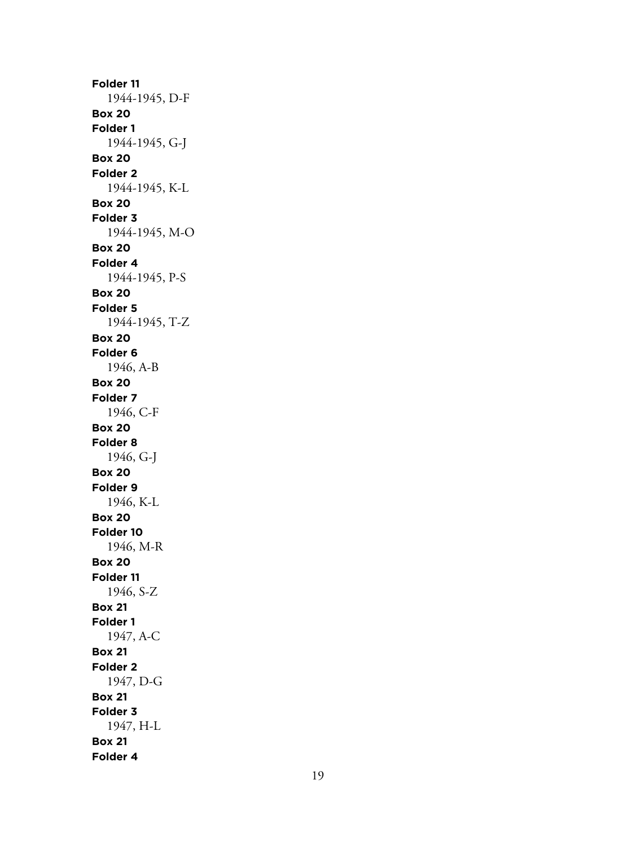**Folder 11** 1944-1945, D-F **Box 20 Folder 1** 1944-1945, G-J **Box 20 Folder 2** 1944-1945, K-L **Box 20 Folder 3** 1944-1945, M-O **Box 20 Folder 4** 1944-1945, P-S **Box 20 Folder 5** 1944-1945, T-Z **Box 20 Folder 6** 1946, A-B **Box 20 Folder 7** 1946, C-F **Box 20 Folder 8** 1946, G-J **Box 20 Folder 9** 1946, K-L **Box 20 Folder 10** 1946, M-R **Box 20 Folder 11** 1946, S-Z **Box 21 Folder 1** 1947, A-C **Box 21 Folder 2** 1947, D-G **Box 21 Folder 3** 1947, H-L **Box 21 Folder 4**